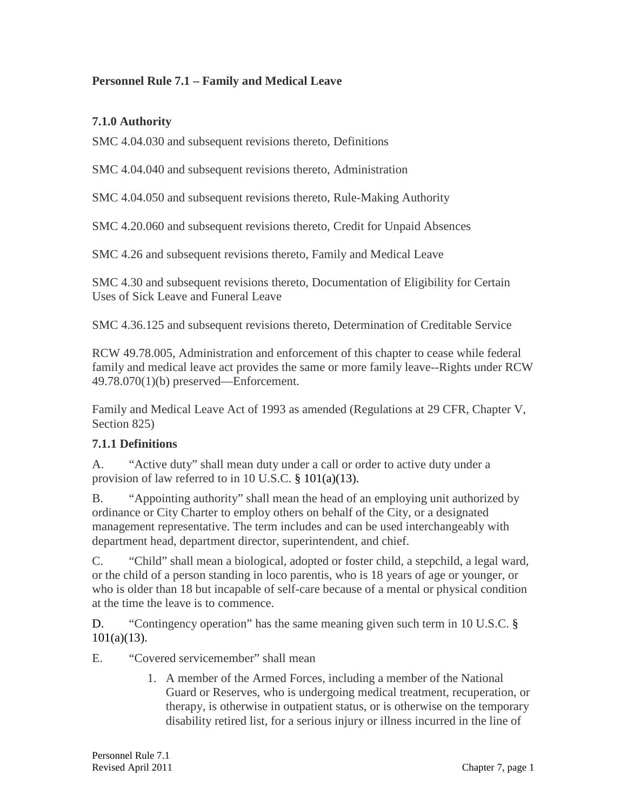#### **Personnel Rule 7.1 – Family and Medical Leave**

#### **7.1.0 Authority**

SMC 4.04.030 and subsequent revisions thereto, Definitions

SMC 4.04.040 and subsequent revisions thereto, Administration

SMC 4.04.050 and subsequent revisions thereto, Rule-Making Authority

SMC 4.20.060 and subsequent revisions thereto, Credit for Unpaid Absences

SMC 4.26 and subsequent revisions thereto, Family and Medical Leave

SMC 4.30 and subsequent revisions thereto, Documentation of Eligibility for Certain Uses of Sick Leave and Funeral Leave

SMC 4.36.125 and subsequent revisions thereto, Determination of Creditable Service

RCW 49.78.005, Administration and enforcement of this chapter to cease while federal family and medical leave act provides the same or more family leave--Rights under RCW 49.78.070(1)(b) preserved—Enforcement.

Family and Medical Leave Act of 1993 as amended (Regulations at 29 CFR, Chapter V, Section 825)

## **7.1.1 Definitions**

A. "Active duty" shall mean duty under a call or order to active duty under a provision of law referred to in 10 U.S.C. § 101(a)(13).

B. "Appointing authority" shall mean the head of an employing unit authorized by ordinance or City Charter to employ others on behalf of the City, or a designated management representative. The term includes and can be used interchangeably with department head, department director, superintendent, and chief.

C. "Child" shall mean a biological, adopted or foster child, a stepchild, a legal ward, or the child of a person standing in loco parentis, who is 18 years of age or younger, or who is older than 18 but incapable of self-care because of a mental or physical condition at the time the leave is to commence.

D. "Contingency operation" has the same meaning given such term in 10 U.S.C. § 101(a)(13).

E. "Covered servicemember" shall mean

1. A member of the Armed Forces, including a member of the National Guard or Reserves, who is undergoing medical treatment, recuperation, or therapy, is otherwise in outpatient status, or is otherwise on the temporary disability retired list, for a serious injury or illness incurred in the line of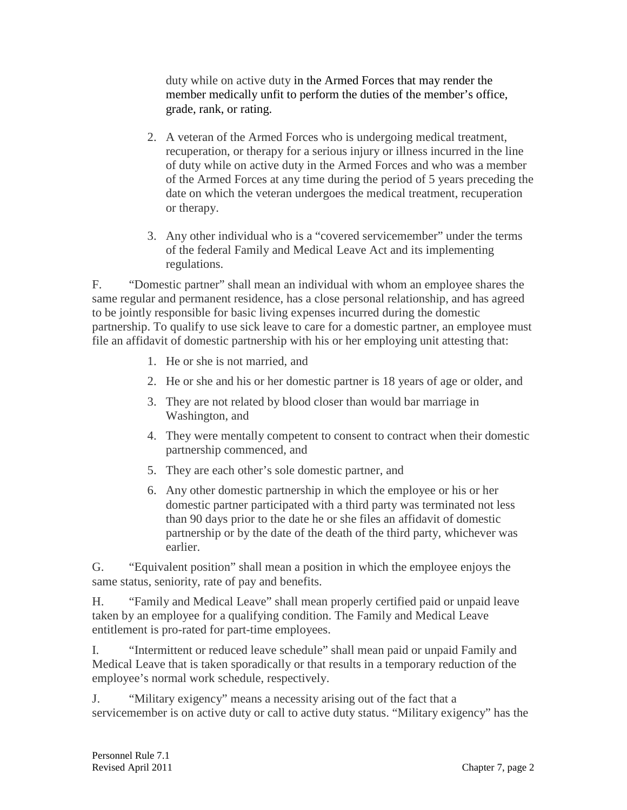duty while on active duty in the Armed Forces that may render the member medically unfit to perform the duties of the member's office, grade, rank, or rating.

- 2. A veteran of the Armed Forces who is undergoing medical treatment, recuperation, or therapy for a serious injury or illness incurred in the line of duty while on active duty in the Armed Forces and who was a member of the Armed Forces at any time during the period of 5 years preceding the date on which the veteran undergoes the medical treatment, recuperation or therapy.
- 3. Any other individual who is a "covered servicemember" under the terms of the federal Family and Medical Leave Act and its implementing regulations.

F. "Domestic partner" shall mean an individual with whom an employee shares the same regular and permanent residence, has a close personal relationship, and has agreed to be jointly responsible for basic living expenses incurred during the domestic partnership. To qualify to use sick leave to care for a domestic partner, an employee must file an affidavit of domestic partnership with his or her employing unit attesting that:

- 1. He or she is not married, and
- 2. He or she and his or her domestic partner is 18 years of age or older, and
- 3. They are not related by blood closer than would bar marriage in Washington, and
- 4. They were mentally competent to consent to contract when their domestic partnership commenced, and
- 5. They are each other's sole domestic partner, and
- 6. Any other domestic partnership in which the employee or his or her domestic partner participated with a third party was terminated not less than 90 days prior to the date he or she files an affidavit of domestic partnership or by the date of the death of the third party, whichever was earlier.

G. "Equivalent position" shall mean a position in which the employee enjoys the same status, seniority, rate of pay and benefits.

H. "Family and Medical Leave" shall mean properly certified paid or unpaid leave taken by an employee for a qualifying condition. The Family and Medical Leave entitlement is pro-rated for part-time employees.

I. "Intermittent or reduced leave schedule" shall mean paid or unpaid Family and Medical Leave that is taken sporadically or that results in a temporary reduction of the employee's normal work schedule, respectively.

J. "Military exigency" means a necessity arising out of the fact that a servicemember is on active duty or call to active duty status. "Military exigency" has the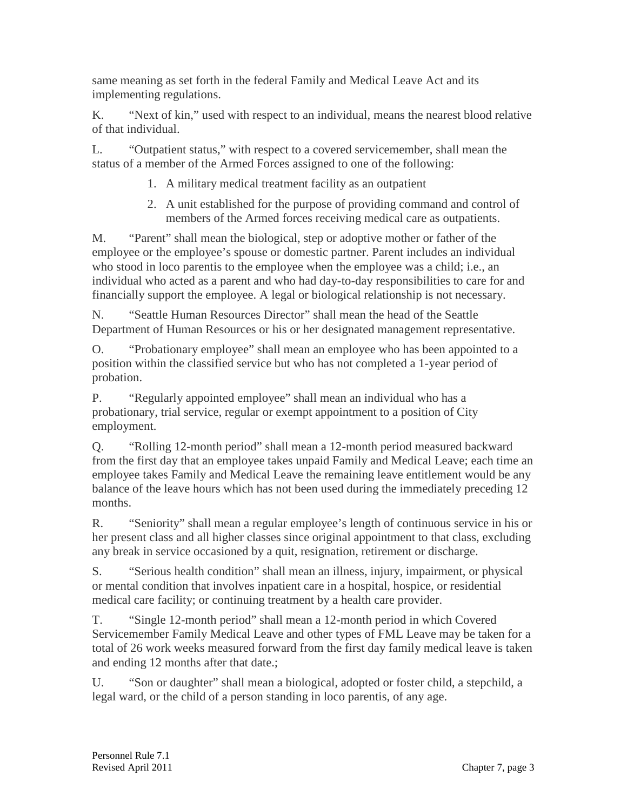same meaning as set forth in the federal Family and Medical Leave Act and its implementing regulations.

K. "Next of kin," used with respect to an individual, means the nearest blood relative of that individual.

L. "Outpatient status," with respect to a covered servicemember, shall mean the status of a member of the Armed Forces assigned to one of the following:

- 1. A military medical treatment facility as an outpatient
- 2. A unit established for the purpose of providing command and control of members of the Armed forces receiving medical care as outpatients.

M. "Parent" shall mean the biological, step or adoptive mother or father of the employee or the employee's spouse or domestic partner. Parent includes an individual who stood in loco parentis to the employee when the employee was a child; i.e., an individual who acted as a parent and who had day-to-day responsibilities to care for and financially support the employee. A legal or biological relationship is not necessary.

N. "Seattle Human Resources Director" shall mean the head of the Seattle Department of Human Resources or his or her designated management representative.

O. "Probationary employee" shall mean an employee who has been appointed to a position within the classified service but who has not completed a 1-year period of probation.

P. "Regularly appointed employee" shall mean an individual who has a probationary, trial service, regular or exempt appointment to a position of City employment.

Q. "Rolling 12-month period" shall mean a 12-month period measured backward from the first day that an employee takes unpaid Family and Medical Leave; each time an employee takes Family and Medical Leave the remaining leave entitlement would be any balance of the leave hours which has not been used during the immediately preceding 12 months.

R. "Seniority" shall mean a regular employee's length of continuous service in his or her present class and all higher classes since original appointment to that class, excluding any break in service occasioned by a quit, resignation, retirement or discharge.

S. "Serious health condition" shall mean an illness, injury, impairment, or physical or mental condition that involves inpatient care in a hospital, hospice, or residential medical care facility; or continuing treatment by a health care provider.

T. "Single 12-month period" shall mean a 12-month period in which Covered Servicemember Family Medical Leave and other types of FML Leave may be taken for a total of 26 work weeks measured forward from the first day family medical leave is taken and ending 12 months after that date.;

U. "Son or daughter" shall mean a biological, adopted or foster child, a stepchild, a legal ward, or the child of a person standing in loco parentis, of any age.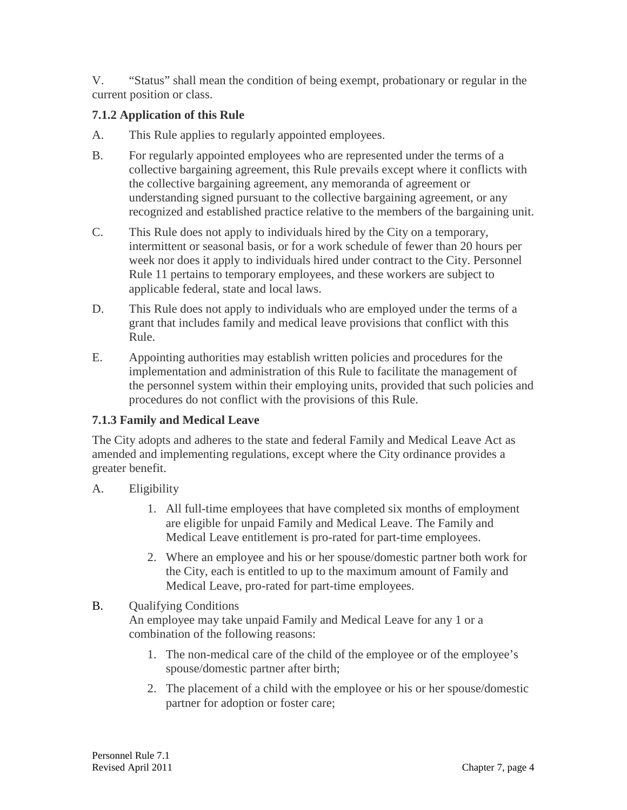V. "Status" shall mean the condition of being exempt, probationary or regular in the current position or class.

# **7.1.2 Application of this Rule**

- A. This Rule applies to regularly appointed employees.
- B. For regularly appointed employees who are represented under the terms of a collective bargaining agreement, this Rule prevails except where it conflicts with the collective bargaining agreement, any memoranda of agreement or understanding signed pursuant to the collective bargaining agreement, or any recognized and established practice relative to the members of the bargaining unit.
- C. This Rule does not apply to individuals hired by the City on a temporary, intermittent or seasonal basis, or for a work schedule of fewer than 20 hours per week nor does it apply to individuals hired under contract to the City. Personnel Rule 11 pertains to temporary employees, and these workers are subject to applicable federal, state and local laws.
- D. This Rule does not apply to individuals who are employed under the terms of a grant that includes family and medical leave provisions that conflict with this Rule.
- E. Appointing authorities may establish written policies and procedures for the implementation and administration of this Rule to facilitate the management of the personnel system within their employing units, provided that such policies and procedures do not conflict with the provisions of this Rule.

## **7.1.3 Family and Medical Leave**

The City adopts and adheres to the state and federal Family and Medical Leave Act as amended and implementing regulations, except where the City ordinance provides a greater benefit.

- A. Eligibility
	- 1. All full-time employees that have completed six months of employment are eligible for unpaid Family and Medical Leave. The Family and Medical Leave entitlement is pro-rated for part-time employees.
	- 2. Where an employee and his or her spouse/domestic partner both work for the City, each is entitled to up to the maximum amount of Family and Medical Leave, pro-rated for part-time employees.

# B. Qualifying Conditions

An employee may take unpaid Family and Medical Leave for any 1 or a combination of the following reasons:

- 1. The non-medical care of the child of the employee or of the employee's spouse/domestic partner after birth;
- 2. The placement of a child with the employee or his or her spouse/domestic partner for adoption or foster care;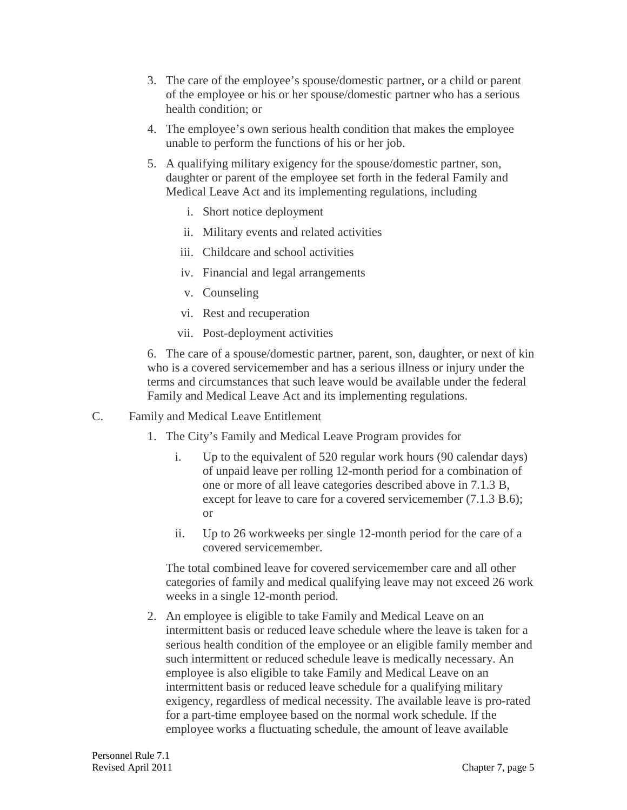- 3. The care of the employee's spouse/domestic partner, or a child or parent of the employee or his or her spouse/domestic partner who has a serious health condition; or
- 4. The employee's own serious health condition that makes the employee unable to perform the functions of his or her job.
- 5. A qualifying military exigency for the spouse/domestic partner, son, daughter or parent of the employee set forth in the federal Family and Medical Leave Act and its implementing regulations, including
	- i. Short notice deployment
	- ii. Military events and related activities
	- iii. Childcare and school activities
	- iv. Financial and legal arrangements
	- v. Counseling
	- vi. Rest and recuperation
	- vii. Post-deployment activities

6. The care of a spouse/domestic partner, parent, son, daughter, or next of kin who is a covered servicemember and has a serious illness or injury under the terms and circumstances that such leave would be available under the federal Family and Medical Leave Act and its implementing regulations.

- C. Family and Medical Leave Entitlement
	- 1. The City's Family and Medical Leave Program provides for
		- i. Up to the equivalent of 520 regular work hours (90 calendar days) of unpaid leave per rolling 12-month period for a combination of one or more of all leave categories described above in 7.1.3 B, except for leave to care for a covered servicemember (7.1.3 B.6); or
		- ii. Up to 26 workweeks per single 12-month period for the care of a covered servicemember.

The total combined leave for covered servicemember care and all other categories of family and medical qualifying leave may not exceed 26 work weeks in a single 12-month period.

2. An employee is eligible to take Family and Medical Leave on an intermittent basis or reduced leave schedule where the leave is taken for a serious health condition of the employee or an eligible family member and such intermittent or reduced schedule leave is medically necessary. An employee is also eligible to take Family and Medical Leave on an intermittent basis or reduced leave schedule for a qualifying military exigency, regardless of medical necessity. The available leave is pro-rated for a part-time employee based on the normal work schedule. If the employee works a fluctuating schedule, the amount of leave available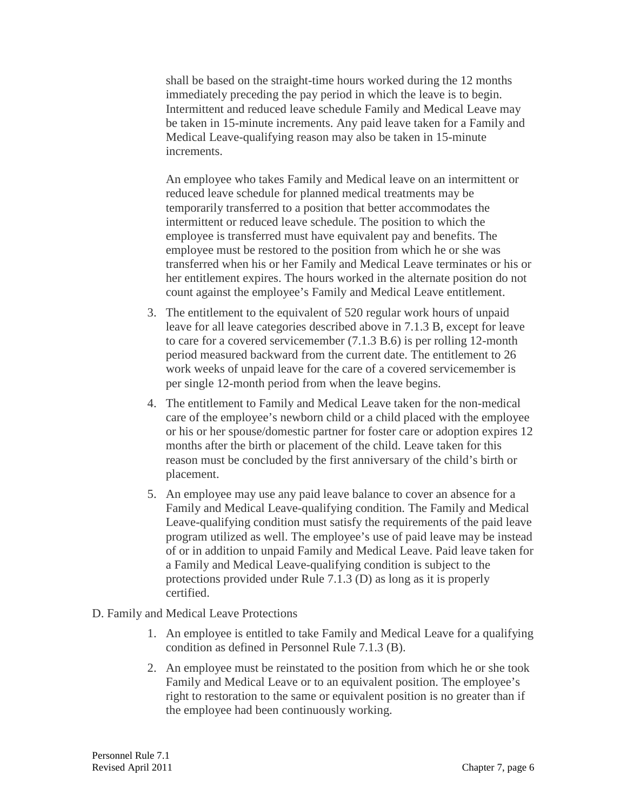shall be based on the straight-time hours worked during the 12 months immediately preceding the pay period in which the leave is to begin. Intermittent and reduced leave schedule Family and Medical Leave may be taken in 15-minute increments. Any paid leave taken for a Family and Medical Leave-qualifying reason may also be taken in 15-minute increments.

An employee who takes Family and Medical leave on an intermittent or reduced leave schedule for planned medical treatments may be temporarily transferred to a position that better accommodates the intermittent or reduced leave schedule. The position to which the employee is transferred must have equivalent pay and benefits. The employee must be restored to the position from which he or she was transferred when his or her Family and Medical Leave terminates or his or her entitlement expires. The hours worked in the alternate position do not count against the employee's Family and Medical Leave entitlement.

- 3. The entitlement to the equivalent of 520 regular work hours of unpaid leave for all leave categories described above in 7.1.3 B, except for leave to care for a covered servicemember (7.1.3 B.6) is per rolling 12-month period measured backward from the current date. The entitlement to 26 work weeks of unpaid leave for the care of a covered servicemember is per single 12-month period from when the leave begins.
- 4. The entitlement to Family and Medical Leave taken for the non-medical care of the employee's newborn child or a child placed with the employee or his or her spouse/domestic partner for foster care or adoption expires 12 months after the birth or placement of the child. Leave taken for this reason must be concluded by the first anniversary of the child's birth or placement.
- 5. An employee may use any paid leave balance to cover an absence for a Family and Medical Leave-qualifying condition. The Family and Medical Leave-qualifying condition must satisfy the requirements of the paid leave program utilized as well. The employee's use of paid leave may be instead of or in addition to unpaid Family and Medical Leave. Paid leave taken for a Family and Medical Leave-qualifying condition is subject to the protections provided under Rule 7.1.3 (D) as long as it is properly certified.
- D. Family and Medical Leave Protections
	- 1. An employee is entitled to take Family and Medical Leave for a qualifying condition as defined in Personnel Rule 7.1.3 (B).
	- 2. An employee must be reinstated to the position from which he or she took Family and Medical Leave or to an equivalent position. The employee's right to restoration to the same or equivalent position is no greater than if the employee had been continuously working.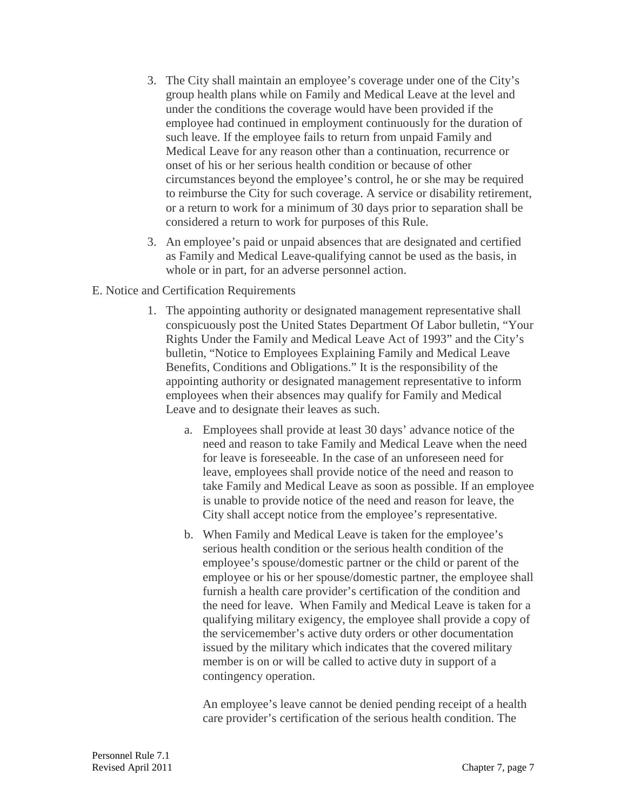- 3. The City shall maintain an employee's coverage under one of the City's group health plans while on Family and Medical Leave at the level and under the conditions the coverage would have been provided if the employee had continued in employment continuously for the duration of such leave. If the employee fails to return from unpaid Family and Medical Leave for any reason other than a continuation, recurrence or onset of his or her serious health condition or because of other circumstances beyond the employee's control, he or she may be required to reimburse the City for such coverage. A service or disability retirement, or a return to work for a minimum of 30 days prior to separation shall be considered a return to work for purposes of this Rule.
- 3. An employee's paid or unpaid absences that are designated and certified as Family and Medical Leave-qualifying cannot be used as the basis, in whole or in part, for an adverse personnel action.
- E. Notice and Certification Requirements
	- 1. The appointing authority or designated management representative shall conspicuously post the United States Department Of Labor bulletin, "Your Rights Under the Family and Medical Leave Act of 1993" and the City's bulletin, "Notice to Employees Explaining Family and Medical Leave Benefits, Conditions and Obligations." It is the responsibility of the appointing authority or designated management representative to inform employees when their absences may qualify for Family and Medical Leave and to designate their leaves as such.
		- a. Employees shall provide at least 30 days' advance notice of the need and reason to take Family and Medical Leave when the need for leave is foreseeable. In the case of an unforeseen need for leave, employees shall provide notice of the need and reason to take Family and Medical Leave as soon as possible. If an employee is unable to provide notice of the need and reason for leave, the City shall accept notice from the employee's representative.
		- b. When Family and Medical Leave is taken for the employee's serious health condition or the serious health condition of the employee's spouse/domestic partner or the child or parent of the employee or his or her spouse/domestic partner, the employee shall furnish a health care provider's certification of the condition and the need for leave. When Family and Medical Leave is taken for a qualifying military exigency, the employee shall provide a copy of the servicemember's active duty orders or other documentation issued by the military which indicates that the covered military member is on or will be called to active duty in support of a contingency operation.

An employee's leave cannot be denied pending receipt of a health care provider's certification of the serious health condition. The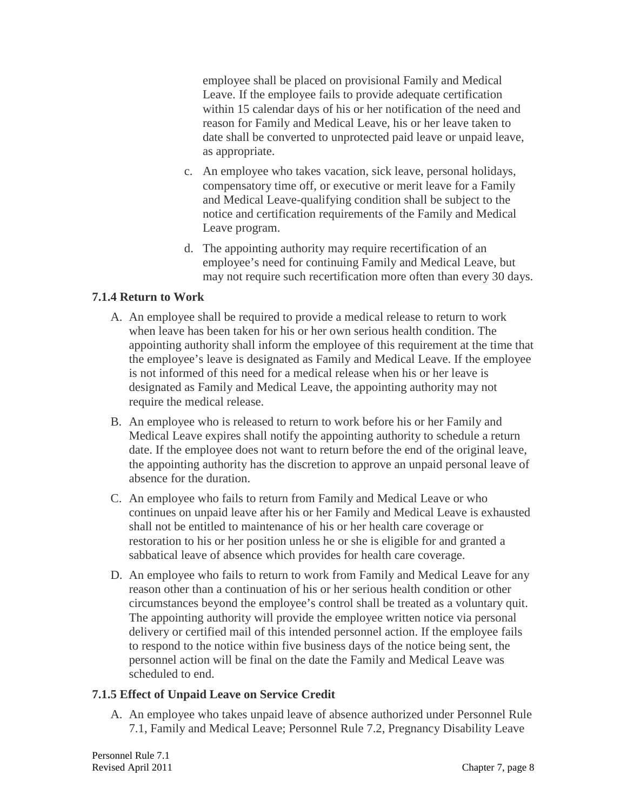employee shall be placed on provisional Family and Medical Leave. If the employee fails to provide adequate certification within 15 calendar days of his or her notification of the need and reason for Family and Medical Leave, his or her leave taken to date shall be converted to unprotected paid leave or unpaid leave, as appropriate.

- c. An employee who takes vacation, sick leave, personal holidays, compensatory time off, or executive or merit leave for a Family and Medical Leave-qualifying condition shall be subject to the notice and certification requirements of the Family and Medical Leave program.
- d. The appointing authority may require recertification of an employee's need for continuing Family and Medical Leave, but may not require such recertification more often than every 30 days.

## **7.1.4 Return to Work**

- A. An employee shall be required to provide a medical release to return to work when leave has been taken for his or her own serious health condition. The appointing authority shall inform the employee of this requirement at the time that the employee's leave is designated as Family and Medical Leave. If the employee is not informed of this need for a medical release when his or her leave is designated as Family and Medical Leave, the appointing authority may not require the medical release.
- B. An employee who is released to return to work before his or her Family and Medical Leave expires shall notify the appointing authority to schedule a return date. If the employee does not want to return before the end of the original leave, the appointing authority has the discretion to approve an unpaid personal leave of absence for the duration.
- C. An employee who fails to return from Family and Medical Leave or who continues on unpaid leave after his or her Family and Medical Leave is exhausted shall not be entitled to maintenance of his or her health care coverage or restoration to his or her position unless he or she is eligible for and granted a sabbatical leave of absence which provides for health care coverage.
- D. An employee who fails to return to work from Family and Medical Leave for any reason other than a continuation of his or her serious health condition or other circumstances beyond the employee's control shall be treated as a voluntary quit. The appointing authority will provide the employee written notice via personal delivery or certified mail of this intended personnel action. If the employee fails to respond to the notice within five business days of the notice being sent, the personnel action will be final on the date the Family and Medical Leave was scheduled to end.

#### **7.1.5 Effect of Unpaid Leave on Service Credit**

A. An employee who takes unpaid leave of absence authorized under Personnel Rule 7.1, Family and Medical Leave; Personnel Rule 7.2, Pregnancy Disability Leave

Personnel Rule 7.1 Revised April 2011 2011 2012 12:30 Revised April 2011